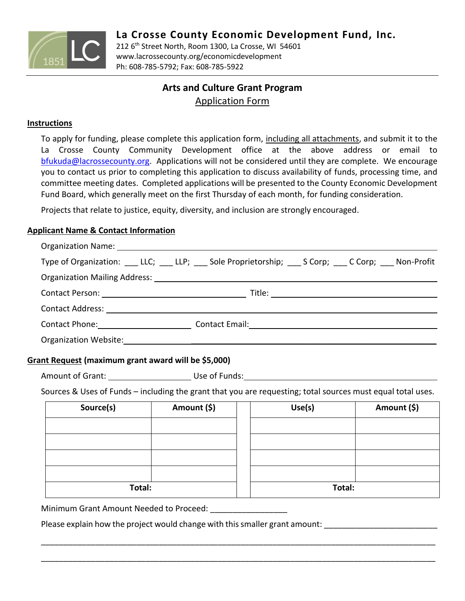

212 6 th Street North, Room 1300, La Crosse, WI 54601 www.lacrossecounty.org/economicdevelopment Ph: 608-785-5792; Fax: 608-785-5922

# **Arts and Culture Grant Program** Application Form

### **Instructions**

To apply for funding, please complete this application form, including all attachments, and submit it to the La Crosse County Community Development office at the above address or email to [bfukuda@lacrossecounty.org.](mailto:bfukuda@lacrossecounty.org) Applications will not be considered until they are complete. We encourage you to contact us prior to completing this application to discuss availability of funds, processing time, and committee meeting dates. Completed applications will be presented to the County Economic Development Fund Board, which generally meet on the first Thursday of each month, for funding consideration.

Projects that relate to justice, equity, diversity, and inclusion are strongly encouraged.

### **Applicant Name & Contact Information**

| Type of Organization: LLC; LLP; Sole Proprietorship; Scorp; Ccorp; Non-Profit                                         |             |        |             |  |
|-----------------------------------------------------------------------------------------------------------------------|-------------|--------|-------------|--|
|                                                                                                                       |             |        |             |  |
|                                                                                                                       |             |        |             |  |
|                                                                                                                       |             |        |             |  |
| Contact Phone: Contact Email: Contact Email: Contact Email: Contact Email: Contact Phone:                             |             |        |             |  |
|                                                                                                                       |             |        |             |  |
| Grant Request (maximum grant award will be \$5,000)                                                                   |             |        |             |  |
| Amount of Grant: 1990 March 2010 Use of Funds: 1990 March 2010 March 2010 March 2010 March 2010 March 2010 March 2010 |             |        |             |  |
| Sources & Uses of Funds - including the grant that you are requesting; total sources must equal total uses.           |             |        |             |  |
| Source(s)                                                                                                             | Amount (\$) | Use(s) | Amount (\$) |  |
|                                                                                                                       |             |        |             |  |
|                                                                                                                       |             |        |             |  |
|                                                                                                                       |             |        |             |  |
|                                                                                                                       |             |        |             |  |
| Total:                                                                                                                |             |        | Total:      |  |
| Minimum Grant Amount Needed to Proceed:                                                                               |             |        |             |  |

\_\_\_\_\_\_\_\_\_\_\_\_\_\_\_\_\_\_\_\_\_\_\_\_\_\_\_\_\_\_\_\_\_\_\_\_\_\_\_\_\_\_\_\_\_\_\_\_\_\_\_\_\_\_\_\_\_\_\_\_\_\_\_\_\_\_\_\_\_\_\_\_\_\_\_\_\_\_\_\_\_\_\_\_\_\_\_

\_\_\_\_\_\_\_\_\_\_\_\_\_\_\_\_\_\_\_\_\_\_\_\_\_\_\_\_\_\_\_\_\_\_\_\_\_\_\_\_\_\_\_\_\_\_\_\_\_\_\_\_\_\_\_\_\_\_\_\_\_\_\_\_\_\_\_\_\_\_\_\_\_\_\_\_\_\_\_\_\_\_\_\_\_\_\_

Please explain how the project would change with this smaller grant amount: